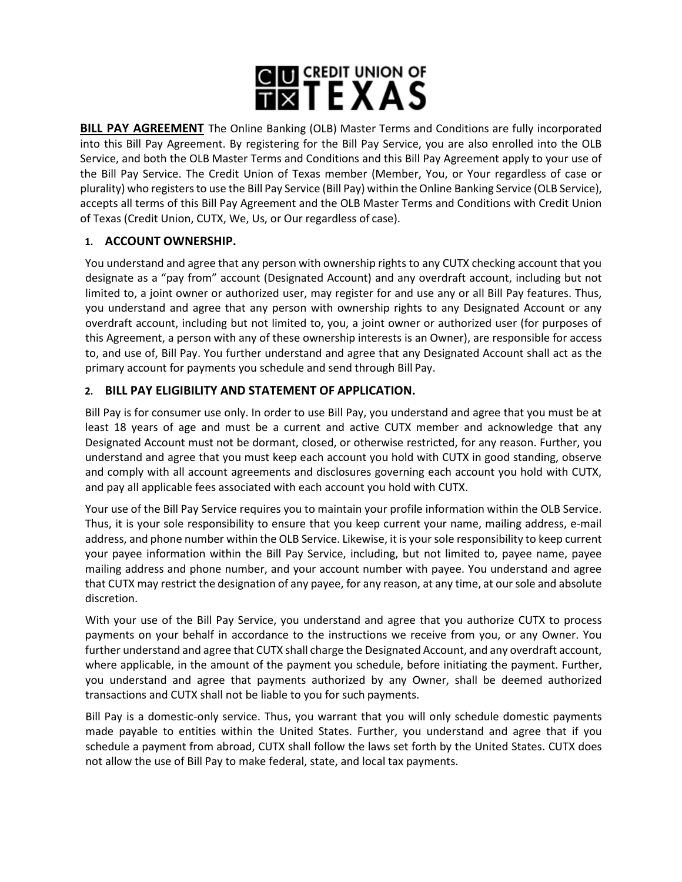# **GUI CREDIT UNION OF**

**BILL PAY AGREEMENT** The Online Banking (OLB) Master Terms and Conditions are fully incorporated into this Bill Pay Agreement. By registering for the Bill Pay Service, you are also enrolled into the OLB Service, and both the OLB Master Terms and Conditions and this Bill Pay Agreement apply to your use of the Bill Pay Service. The Credit Union of Texas member (Member, You, or Your regardless of case or plurality) who registersto use the Bill Pay Service (Bill Pay) within theOnline Banking Service (OLB Service), accepts all terms of this Bill Pay Agreement and the OLB Master Terms and Conditions with Credit Union of Texas (Credit Union, CUTX, We, Us, or Our regardless of case).

# **1. ACCOUNT OWNERSHIP.**

You understand and agree that any person with ownership rights to any CUTX checking account that you designate as a "pay from" account (Designated Account) and any overdraft account, including but not limited to, a joint owner or authorized user, may register for and use any or all Bill Pay features. Thus, you understand and agree that any person with ownership rights to any Designated Account or any overdraft account, including but not limited to, you, a joint owner or authorized user (for purposes of this Agreement, a person with any of these ownership interests is an Owner), are responsible for access to, and use of, Bill Pay. You further understand and agree that any Designated Account shall act as the primary account for payments you schedule and send through Bill Pay.

## **2. BILL PAY ELIGIBILITY AND STATEMENT OF APPLICATION.**

Bill Pay is for consumer use only. In order to use Bill Pay, you understand and agree that you must be at least 18 years of age and must be a current and active CUTX member and acknowledge that any Designated Account must not be dormant, closed, or otherwise restricted, for any reason. Further, you understand and agree that you must keep each account you hold with CUTX in good standing, observe and comply with all account agreements and disclosures governing each account you hold with CUTX, and pay all applicable fees associated with each account you hold with CUTX.

Your use of the Bill Pay Service requires you to maintain your profile information within the OLB Service. Thus, it is your sole responsibility to ensure that you keep current your name, mailing address, e-mail address, and phone number within the OLB Service. Likewise, it is yoursole responsibility to keep current your payee information within the Bill Pay Service, including, but not limited to, payee name, payee mailing address and phone number, and your account number with payee. You understand and agree that CUTX may restrict the designation of any payee, for any reason, at any time, at oursole and absolute discretion.

With your use of the Bill Pay Service, you understand and agree that you authorize CUTX to process payments on your behalf in accordance to the instructions we receive from you, or any Owner. You further understand and agree that CUTX shall charge the Designated Account, and any overdraft account, where applicable, in the amount of the payment you schedule, before initiating the payment. Further, you understand and agree that payments authorized by any Owner, shall be deemed authorized transactions and CUTX shall not be liable to you for such payments.

Bill Pay is a domestic-only service. Thus, you warrant that you will only schedule domestic payments made payable to entities within the United States. Further, you understand and agree that if you schedule a payment from abroad, CUTX shall follow the laws set forth by the United States. CUTX does not allow the use of Bill Pay to make federal, state, and local tax payments.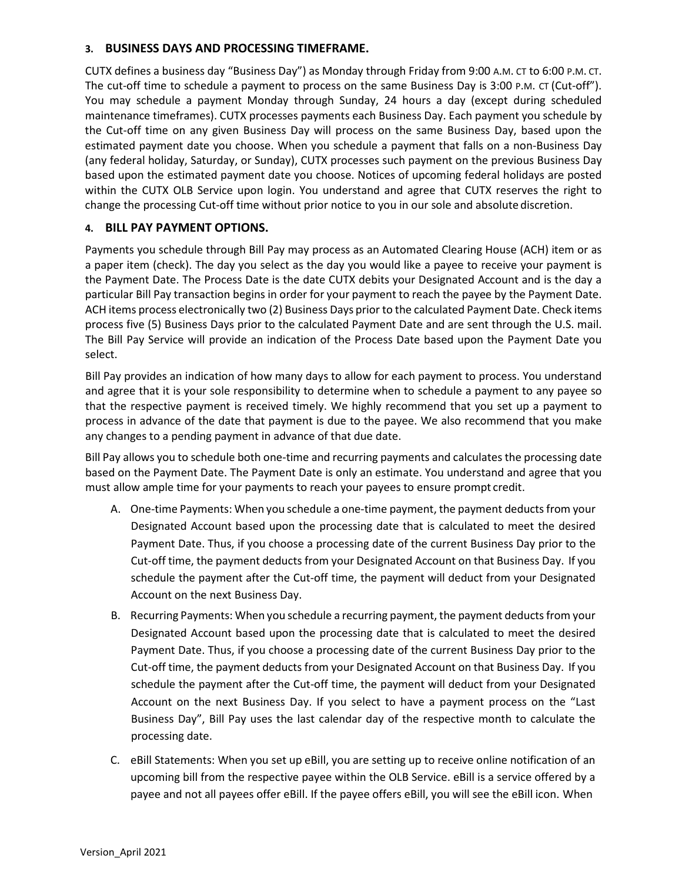#### **3. BUSINESS DAYS AND PROCESSING TIMEFRAME.**

CUTX defines a business day "Business Day") as Monday through Friday from 9:00 A.M. CT to 6:00 P.M. CT. The cut-off time to schedule a payment to process on the same Business Day is 3:00 P.M. CT (Cut-off"). You may schedule a payment Monday through Sunday, 24 hours a day (except during scheduled maintenance timeframes). CUTX processes payments each Business Day. Each payment you schedule by the Cut-off time on any given Business Day will process on the same Business Day, based upon the estimated payment date you choose. When you schedule a payment that falls on a non-Business Day (any federal holiday, Saturday, or Sunday), CUTX processes such payment on the previous Business Day based upon the estimated payment date you choose. Notices of upcoming federal holidays are posted within the CUTX OLB Service upon login. You understand and agree that CUTX reserves the right to change the processing Cut-off time without prior notice to you in our sole and absolute discretion.

#### **4. BILL PAY PAYMENT OPTIONS.**

Payments you schedule through Bill Pay may process as an Automated Clearing House (ACH) item or as a paper item (check). The day you select as the day you would like a payee to receive your payment is the Payment Date. The Process Date is the date CUTX debits your Designated Account and is the day a particular Bill Pay transaction begins in order for your payment to reach the payee by the Payment Date. ACH items process electronically two (2) Business Days prior to the calculated Payment Date. Check items process five (5) Business Days prior to the calculated Payment Date and are sent through the U.S. mail. The Bill Pay Service will provide an indication of the Process Date based upon the Payment Date you select.

Bill Pay provides an indication of how many days to allow for each payment to process. You understand and agree that it is your sole responsibility to determine when to schedule a payment to any payee so that the respective payment is received timely. We highly recommend that you set up a payment to process in advance of the date that payment is due to the payee. We also recommend that you make any changes to a pending payment in advance of that due date.

Bill Pay allows you to schedule both one-time and recurring payments and calculates the processing date based on the Payment Date. The Payment Date is only an estimate. You understand and agree that you must allow ample time for your payments to reach your payees to ensure prompt credit.

- A. One-time Payments: When you schedule a one-time payment, the payment deductsfrom your Designated Account based upon the processing date that is calculated to meet the desired Payment Date. Thus, if you choose a processing date of the current Business Day prior to the Cut-off time, the payment deducts from your Designated Account on that Business Day. If you schedule the payment after the Cut-off time, the payment will deduct from your Designated Account on the next Business Day.
- B. Recurring Payments: When you schedule a recurring payment, the payment deducts from your Designated Account based upon the processing date that is calculated to meet the desired Payment Date. Thus, if you choose a processing date of the current Business Day prior to the Cut-off time, the payment deducts from your Designated Account on that Business Day. If you schedule the payment after the Cut-off time, the payment will deduct from your Designated Account on the next Business Day. If you select to have a payment process on the "Last Business Day", Bill Pay uses the last calendar day of the respective month to calculate the processing date.
- C. eBill Statements: When you set up eBill, you are setting up to receive online notification of an upcoming bill from the respective payee within the OLB Service. eBill is a service offered by a payee and not all payees offer eBill. If the payee offers eBill, you will see the eBill icon. When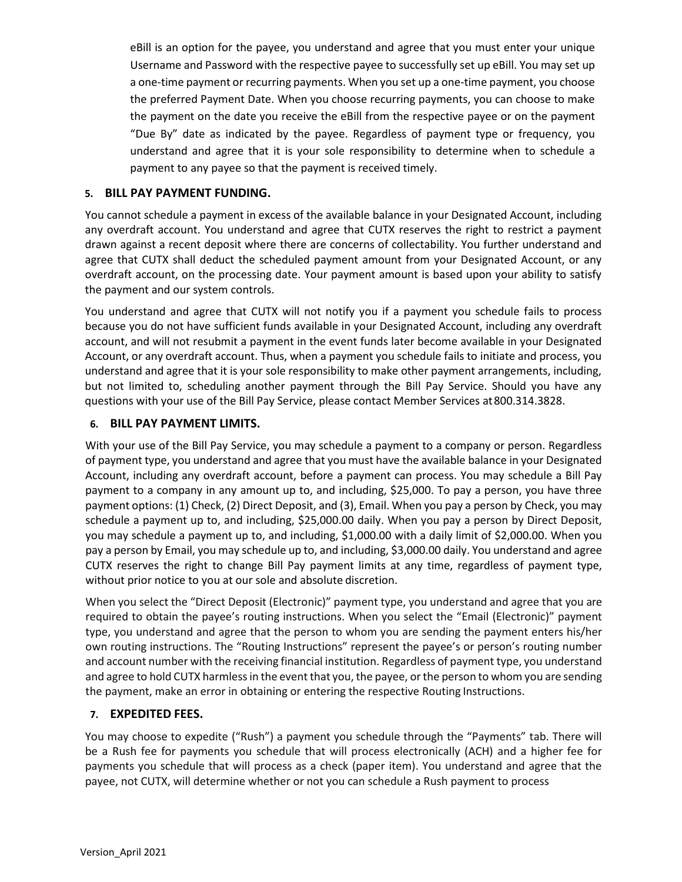eBill is an option for the payee, you understand and agree that you must enter your unique Username and Password with the respective payee to successfully set up eBill. You may set up a one-time payment or recurring payments. When you set up a one-time payment, you choose the preferred Payment Date. When you choose recurring payments, you can choose to make the payment on the date you receive the eBill from the respective payee or on the payment "Due By" date as indicated by the payee. Regardless of payment type or frequency, you understand and agree that it is your sole responsibility to determine when to schedule a payment to any payee so that the payment is received timely.

#### **5. BILL PAY PAYMENT FUNDING.**

You cannot schedule a payment in excess of the available balance in your Designated Account, including any overdraft account. You understand and agree that CUTX reserves the right to restrict a payment drawn against a recent deposit where there are concerns of collectability. You further understand and agree that CUTX shall deduct the scheduled payment amount from your Designated Account, or any overdraft account, on the processing date. Your payment amount is based upon your ability to satisfy the payment and our system controls.

You understand and agree that CUTX will not notify you if a payment you schedule fails to process because you do not have sufficient funds available in your Designated Account, including any overdraft account, and will not resubmit a payment in the event funds later become available in your Designated Account, or any overdraft account. Thus, when a payment you schedule fails to initiate and process, you understand and agree that it is your sole responsibility to make other payment arrangements, including, but not limited to, scheduling another payment through the Bill Pay Service. Should you have any questions with your use of the Bill Pay Service, please contact Member Services at800.314.3828.

#### **6. BILL PAY PAYMENT LIMITS.**

With your use of the Bill Pay Service, you may schedule a payment to a company or person. Regardless of payment type, you understand and agree that you must have the available balance in your Designated Account, including any overdraft account, before a payment can process. You may schedule a Bill Pay payment to a company in any amount up to, and including, \$25,000. To pay a person, you have three payment options: (1) Check, (2) Direct Deposit, and (3), Email. When you pay a person by Check, you may schedule a payment up to, and including, \$25,000.00 daily. When you pay a person by Direct Deposit, you may schedule a payment up to, and including, \$1,000.00 with a daily limit of \$2,000.00. When you pay a person by Email, you may schedule up to, and including, \$3,000.00 daily. You understand and agree CUTX reserves the right to change Bill Pay payment limits at any time, regardless of payment type, without prior notice to you at our sole and absolute discretion.

When you select the "Direct Deposit (Electronic)" payment type, you understand and agree that you are required to obtain the payee's routing instructions. When you select the "Email (Electronic)" payment type, you understand and agree that the person to whom you are sending the payment enters his/her own routing instructions. The "Routing Instructions" represent the payee's or person's routing number and account number with the receiving financial institution. Regardless of payment type, you understand and agree to hold CUTX harmless in the event that you, the payee, or the person to whom you are sending the payment, make an error in obtaining or entering the respective Routing Instructions.

## **7. EXPEDITED FEES.**

You may choose to expedite ("Rush") a payment you schedule through the "Payments" tab. There will be a Rush fee for payments you schedule that will process electronically (ACH) and a higher fee for payments you schedule that will process as a check (paper item). You understand and agree that the payee, not CUTX, will determine whether or not you can schedule a Rush payment to process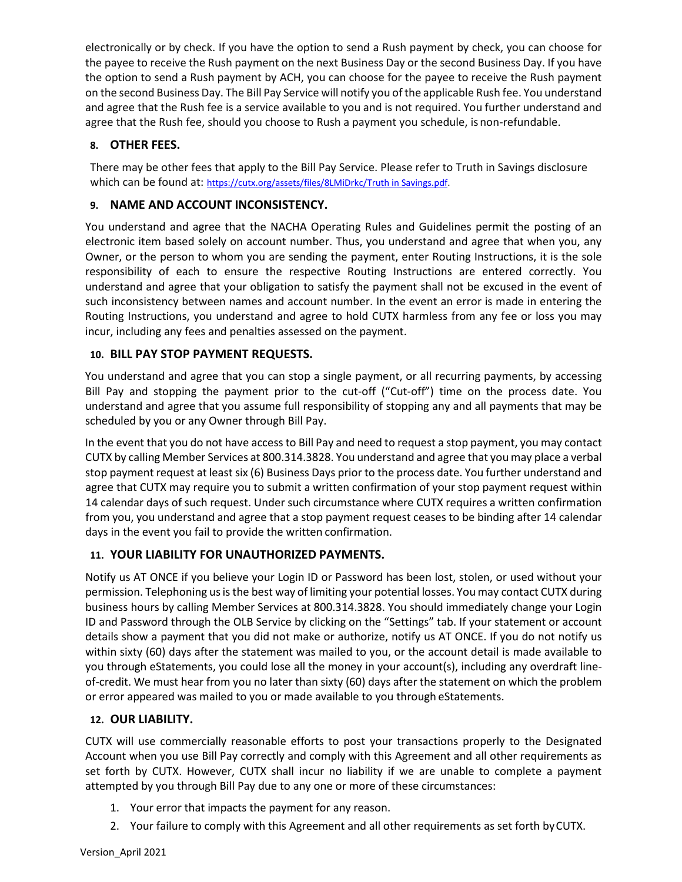electronically or by check. If you have the option to send a Rush payment by check, you can choose for the payee to receive the Rush payment on the next Business Day or the second Business Day. If you have the option to send a Rush payment by ACH, you can choose for the payee to receive the Rush payment on the second Business Day. The Bill Pay Service will notify you ofthe applicable Rush fee. You understand and agree that the Rush fee is a service available to you and is not required. You further understand and agree that the Rush fee, should you choose to Rush a payment you schedule, is non-refundable.

# **8. OTHER FEES.**

There may be other fees that apply to the Bill Pay Service. Please refer to Truth in Savings disclosure which can be found at: [https://cutx.org/assets/files/8LMiDrkc/Truth in Savings.pdf.](https://cutx.org/assets/files/8LMiDrkc/Truth%20in%20Savings.pdf)

## **9. NAME AND ACCOUNT INCONSISTENCY.**

You understand and agree that the NACHA Operating Rules and Guidelines permit the posting of an electronic item based solely on account number. Thus, you understand and agree that when you, any Owner, or the person to whom you are sending the payment, enter Routing Instructions, it is the sole responsibility of each to ensure the respective Routing Instructions are entered correctly. You understand and agree that your obligation to satisfy the payment shall not be excused in the event of such inconsistency between names and account number. In the event an error is made in entering the Routing Instructions, you understand and agree to hold CUTX harmless from any fee or loss you may incur, including any fees and penalties assessed on the payment.

## **10. BILL PAY STOP PAYMENT REQUESTS.**

You understand and agree that you can stop a single payment, or all recurring payments, by accessing Bill Pay and stopping the payment prior to the cut-off ("Cut-off") time on the process date. You understand and agree that you assume full responsibility of stopping any and all payments that may be scheduled by you or any Owner through Bill Pay.

In the event that you do not have accessto Bill Pay and need to request a stop payment, you may contact CUTX by calling Member Services at 800.314.3828. You understand and agree that you may place a verbal stop payment request at least six (6) Business Days prior to the process date. You further understand and agree that CUTX may require you to submit a written confirmation of your stop payment request within 14 calendar days of such request. Under such circumstance where CUTX requires a written confirmation from you, you understand and agree that a stop payment request ceases to be binding after 14 calendar days in the event you fail to provide the written confirmation.

## **11. YOUR LIABILITY FOR UNAUTHORIZED PAYMENTS.**

Notify us AT ONCE if you believe your Login ID or Password has been lost, stolen, or used without your permission. Telephoning us is the best way of limiting your potential losses. You may contact CUTX during business hours by calling Member Services at 800.314.3828. You should immediately change your Login ID and Password through the OLB Service by clicking on the "Settings" tab. If your statement or account details show a payment that you did not make or authorize, notify us AT ONCE. If you do not notify us within sixty (60) days after the statement was mailed to you, or the account detail is made available to you through eStatements, you could lose all the money in your account(s), including any overdraft lineof-credit. We must hear from you no later than sixty (60) days after the statement on which the problem or error appeared was mailed to you or made available to you through eStatements.

## **12. OUR LIABILITY.**

CUTX will use commercially reasonable efforts to post your transactions properly to the Designated Account when you use Bill Pay correctly and comply with this Agreement and all other requirements as set forth by CUTX. However, CUTX shall incur no liability if we are unable to complete a payment attempted by you through Bill Pay due to any one or more of these circumstances:

- 1. Your error that impacts the payment for any reason.
- 2. Your failure to comply with this Agreement and all other requirements as set forth byCUTX.